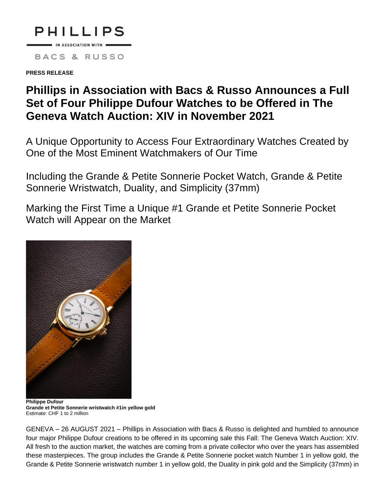

IN ASSOCIATION WITH **BACS & RUSSO** 

**PRESS RELEASE**

# **Phillips in Association with Bacs & Russo Announces a Full Set of Four Philippe Dufour Watches to be Offered in The Geneva Watch Auction: XIV in November 2021**

A Unique Opportunity to Access Four Extraordinary Watches Created by One of the Most Eminent Watchmakers of Our Time

Including the Grande & Petite Sonnerie Pocket Watch, Grande & Petite Sonnerie Wristwatch, Duality, and Simplicity (37mm)

Marking the First Time a Unique #1 Grande et Petite Sonnerie Pocket Watch will Appear on the Market



**Grande et Petite Sonnerie wristwatch #1in yellow gold** Estimate: CHF 1 to 2 million

GENEVA – 26 AUGUST 2021 – Phillips in Association with Bacs & Russo is delighted and humbled to announce four major Philippe Dufour creations to be offered in its upcoming sale this Fall: The Geneva Watch Auction: XIV. All fresh to the auction market, the watches are coming from a private collector who over the years has assembled these masterpieces. The group includes the Grande & Petite Sonnerie pocket watch Number 1 in yellow gold, the Grande & Petite Sonnerie wristwatch number 1 in yellow gold, the Duality in pink gold and the Simplicity (37mm) in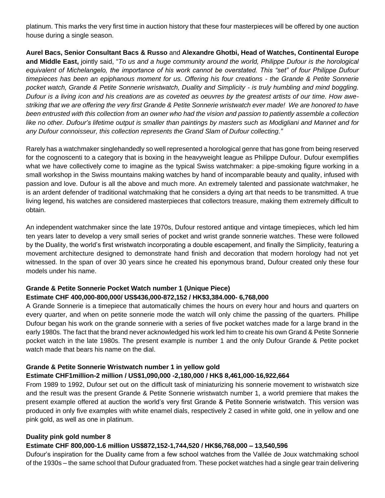platinum. This marks the very first time in auction history that these four masterpieces will be offered by one auction house during a single season.

**Aurel Bacs, Senior Consultant Bacs & Russo** and **Alexandre Ghotbi, Head of Watches, Continental Europe and Middle East,** jointly said, "*To us and a huge community around the world, Philippe Dufour is the horological equivalent of Michelangelo, the importance of his work cannot be overstated. This "set" of four Philippe Dufour timepieces has been an epiphanous moment for us. Offering his four creations - the Grande & Petite Sonnerie pocket watch, Grande & Petite Sonnerie wristwatch, Duality and Simplicity - is truly humbling and mind boggling. Dufour is a living icon and his creations are as coveted as oeuvres by the greatest artists of our time. How awestriking that we are offering the very first Grande & Petite Sonnerie wristwatch ever made! We are honored to have been entrusted with this collection from an owner who had the vision and passion to patiently assemble a collection like no other. Dufour's lifetime output is smaller than paintings by masters such as Modigliani and Mannet and for any Dufour connoisseur, this collection represents the Grand Slam of Dufour collecting."*

Rarely has a watchmaker singlehandedly so well represented a horological genre that has gone from being reserved for the cognoscenti to a category that is boxing in the heavyweight league as Philippe Dufour. Dufour exemplifies what we have collectively come to imagine as the typical Swiss watchmaker: a pipe-smoking figure working in a small workshop in the Swiss mountains making watches by hand of incomparable beauty and quality, infused with passion and love. Dufour is all the above and much more. An extremely talented and passionate watchmaker, he is an ardent defender of traditional watchmaking that he considers a dying art that needs to be transmitted. A true living legend, his watches are considered masterpieces that collectors treasure, making them extremely difficult to obtain.

An independent watchmaker since the late 1970s, Dufour restored antique and vintage timepieces, which led him ten years later to develop a very small series of pocket and wrist grande sonnerie watches. These were followed by the Duality, the world's first wristwatch incorporating a double escapement, and finally the Simplicity, featuring a movement architecture designed to demonstrate hand finish and decoration that modern horology had not yet witnessed. In the span of over 30 years since he created his eponymous brand, Dufour created only these four models under his name.

# **Grande & Petite Sonnerie Pocket Watch number 1 (Unique Piece) Estimate CHF 400,000-800,000/ US\$436,000-872,152 / HK\$3,384.000- 6,768,000**

A Grande Sonnerie is a timepiece that automatically chimes the hours on every hour and hours and quarters on every quarter, and when on petite sonnerie mode the watch will only chime the passing of the quarters. Phillipe Dufour began his work on the grande sonnerie with a series of five pocket watches made for a large brand in the early 1980s. The fact that the brand never acknowledged his work led him to create his own Grand & Petite Sonnerie pocket watch in the late 1980s. The present example is number 1 and the only Dufour Grande & Petite pocket watch made that bears his name on the dial.

# **Grande & Petite Sonnerie Wristwatch number 1 in yellow gold**

# **Estimate CHF1million-2 million / US\$1,090,000 -2,180,000 / HK\$ 8,461,000-16,922,664**

From 1989 to 1992, Dufour set out on the difficult task of miniaturizing his sonnerie movement to wristwatch size and the result was the present Grande & Petite Sonnerie wristwatch number 1, a world premiere that makes the present example offered at auction the world's very first Grande & Petite Sonnerie wristwatch. This version was produced in only five examples with white enamel dials, respectively 2 cased in white gold, one in yellow and one pink gold, as well as one in platinum.

#### **Duality pink gold number 8**

# **Estimate CHF 800,000-1.6 million US\$872,152-1,744,520 / HK\$6,768,000 – 13,540,596**

Dufour's inspiration for the Duality came from a few school watches from the Vallée de Joux watchmaking school of the 1930s – the same school that Dufour graduated from. These pocket watches had a single gear train delivering